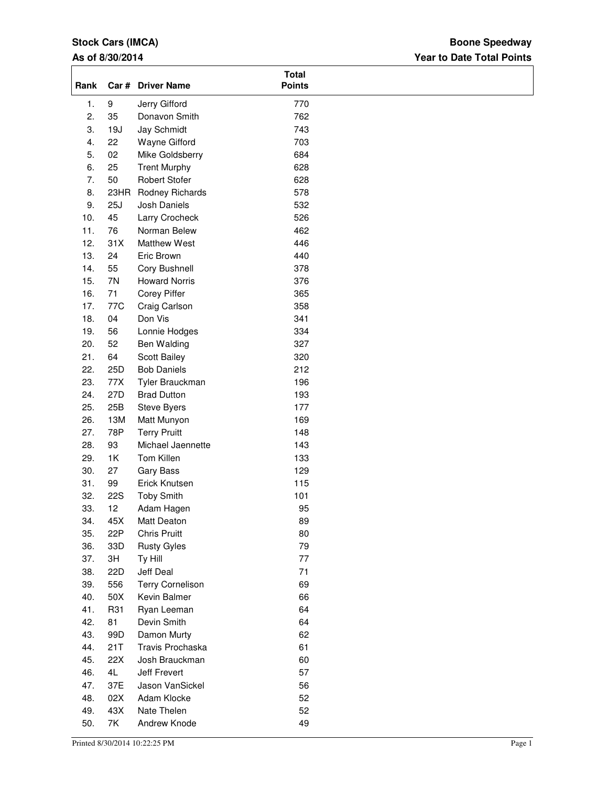## **Stock Cars (IMCA)**

## **As of 8/30/2014**

## **Year to Date Total Points Boone Speedway**

| Rank |            | Car # Driver Name    | <b>Total</b><br><b>Points</b> |  |
|------|------------|----------------------|-------------------------------|--|
| 1.   | 9          | Jerry Gifford        | 770                           |  |
| 2.   | 35         | Donavon Smith        | 762                           |  |
| 3.   | 19J        | Jay Schmidt          | 743                           |  |
| 4.   | 22         | Wayne Gifford        | 703                           |  |
| 5.   | 02         | Mike Goldsberry      | 684                           |  |
| 6.   | 25         | <b>Trent Murphy</b>  | 628                           |  |
| 7.   | 50         | <b>Robert Stofer</b> | 628                           |  |
| 8.   | 23HR       | Rodney Richards      | 578                           |  |
| 9.   | 25J        | Josh Daniels         | 532                           |  |
| 10.  | 45         | Larry Crocheck       | 526                           |  |
| 11.  | 76         | Norman Belew         | 462                           |  |
| 12.  | 31X        | <b>Matthew West</b>  | 446                           |  |
| 13.  | 24         | Eric Brown           | 440                           |  |
| 14.  | 55         | Cory Bushnell        | 378                           |  |
| 15.  | 7N         | <b>Howard Norris</b> | 376                           |  |
| 16.  | 71         | <b>Corey Piffer</b>  | 365                           |  |
| 17.  | 77C        | Craig Carlson        | 358                           |  |
| 18.  | 04         | Don Vis              | 341                           |  |
| 19.  | 56         | Lonnie Hodges        | 334                           |  |
| 20.  | 52         | Ben Walding          | 327                           |  |
| 21.  | 64         | Scott Bailey         | 320                           |  |
| 22.  | 25D        | <b>Bob Daniels</b>   | 212                           |  |
| 23.  | 77X        | Tyler Brauckman      | 196                           |  |
| 24.  | 27D        | <b>Brad Dutton</b>   | 193                           |  |
| 25.  | 25B        | Steve Byers          | 177                           |  |
| 26.  | 13M        | Matt Munyon          | 169                           |  |
| 27.  | 78P        | <b>Terry Pruitt</b>  | 148                           |  |
| 28.  | 93         | Michael Jaennette    | 143                           |  |
| 29.  | 1K         | Tom Killen           | 133                           |  |
| 30.  | 27         | <b>Gary Bass</b>     | 129                           |  |
| 31.  | 99         | Erick Knutsen        | 115                           |  |
| 32.  | <b>22S</b> | <b>Toby Smith</b>    | 101                           |  |
| 33.  | 12         | Adam Hagen           | 95                            |  |
| 34.  | 45X        | Matt Deaton          | 89                            |  |
| 35.  | 22P        | <b>Chris Pruitt</b>  | 80                            |  |
| 36.  | 33D        | <b>Rusty Gyles</b>   | 79                            |  |
| 37.  | 3H         | Ty Hill              | 77                            |  |
| 38.  | 22D        | Jeff Deal            | 71                            |  |
| 39.  | 556        | Terry Cornelison     | 69                            |  |
| 40.  | 50X        | Kevin Balmer         | 66                            |  |
| 41.  | R31        | Ryan Leeman          | 64                            |  |
| 42.  | 81         | Devin Smith          | 64                            |  |
| 43.  | 99D        | Damon Murty          | 62                            |  |
| 44.  | 21T        | Travis Prochaska     | 61                            |  |
| 45.  | 22X        | Josh Brauckman       | 60                            |  |
| 46.  | 4L         | Jeff Frevert         | 57                            |  |
| 47.  | 37E        | Jason VanSickel      | 56                            |  |
| 48.  | 02X        | Adam Klocke          | 52                            |  |
| 49.  | 43X        | Nate Thelen          | 52                            |  |
| 50.  | 7K         | Andrew Knode         | 49                            |  |